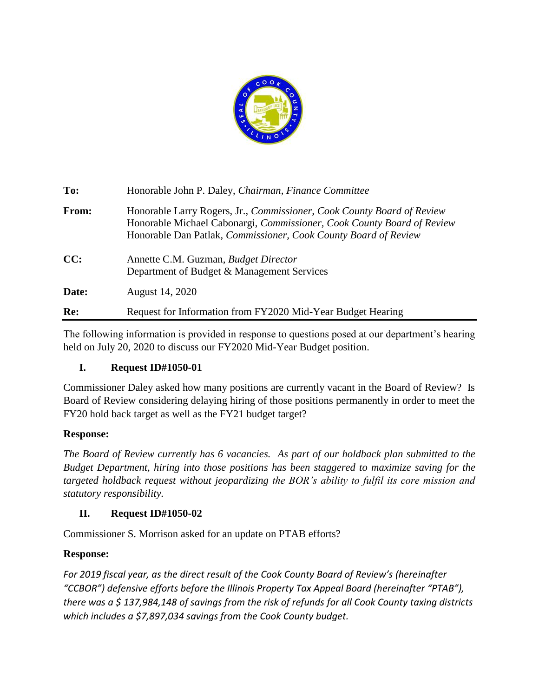

| To:   | Honorable John P. Daley, Chairman, Finance Committee                                                                                                                                                                |
|-------|---------------------------------------------------------------------------------------------------------------------------------------------------------------------------------------------------------------------|
| From: | Honorable Larry Rogers, Jr., Commissioner, Cook County Board of Review<br>Honorable Michael Cabonargi, Commissioner, Cook County Board of Review<br>Honorable Dan Patlak, Commissioner, Cook County Board of Review |
| CC:   | Annette C.M. Guzman, <i>Budget Director</i><br>Department of Budget & Management Services                                                                                                                           |
| Date: | August 14, 2020                                                                                                                                                                                                     |
| Re:   | Request for Information from FY2020 Mid-Year Budget Hearing                                                                                                                                                         |

The following information is provided in response to questions posed at our department's hearing held on July 20, 2020 to discuss our FY2020 Mid-Year Budget position.

## **I. Request ID#1050-01**

Commissioner Daley asked how many positions are currently vacant in the Board of Review? Is Board of Review considering delaying hiring of those positions permanently in order to meet the FY20 hold back target as well as the FY21 budget target?

## **Response:**

*The Board of Review currently has 6 vacancies. As part of our holdback plan submitted to the Budget Department, hiring into those positions has been staggered to maximize saving for the targeted holdback request without jeopardizing the BOR's ability to fulfil its core mission and statutory responsibility.* 

## **II. Request ID#1050-02**

Commissioner S. Morrison asked for an update on PTAB efforts?

## **Response:**

*For 2019 fiscal year, as the direct result of the Cook County Board of Review's (hereinafter "CCBOR") defensive efforts before the Illinois Property Tax Appeal Board (hereinafter "PTAB"), there was a \$ 137,984,148 of savings from the risk of refunds for all Cook County taxing districts which includes a \$7,897,034 savings from the Cook County budget.*